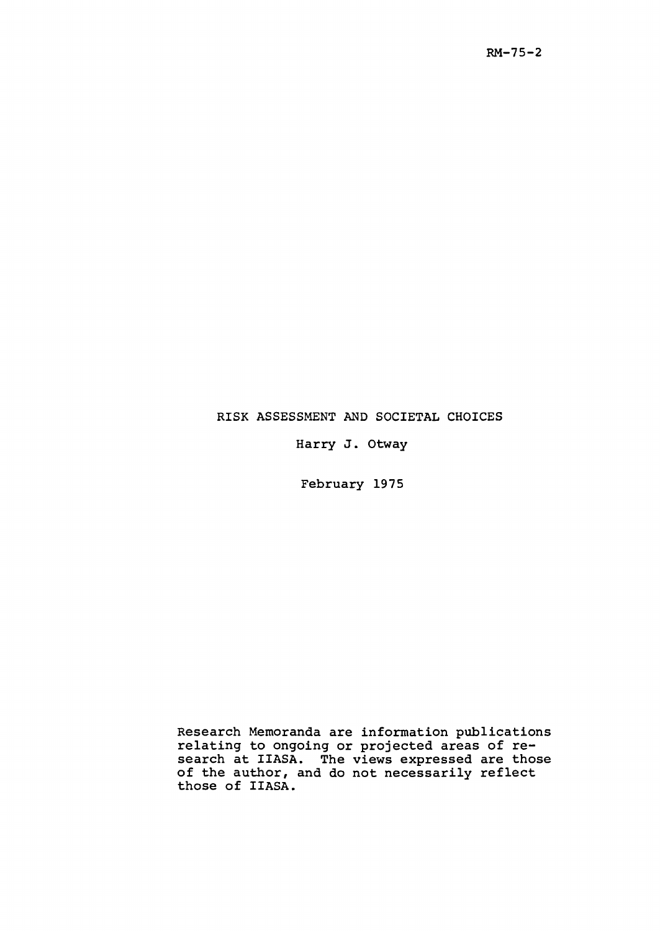## RISK ASSESSMENT AND SOCIETAL CHOICES

Harry J. Otway

February 1975

Research Memoranda are information publications relating to ongoing or projected areas of research at IIASA. The views expressed are those of the author, and do not necessarily reflect those of IIASA.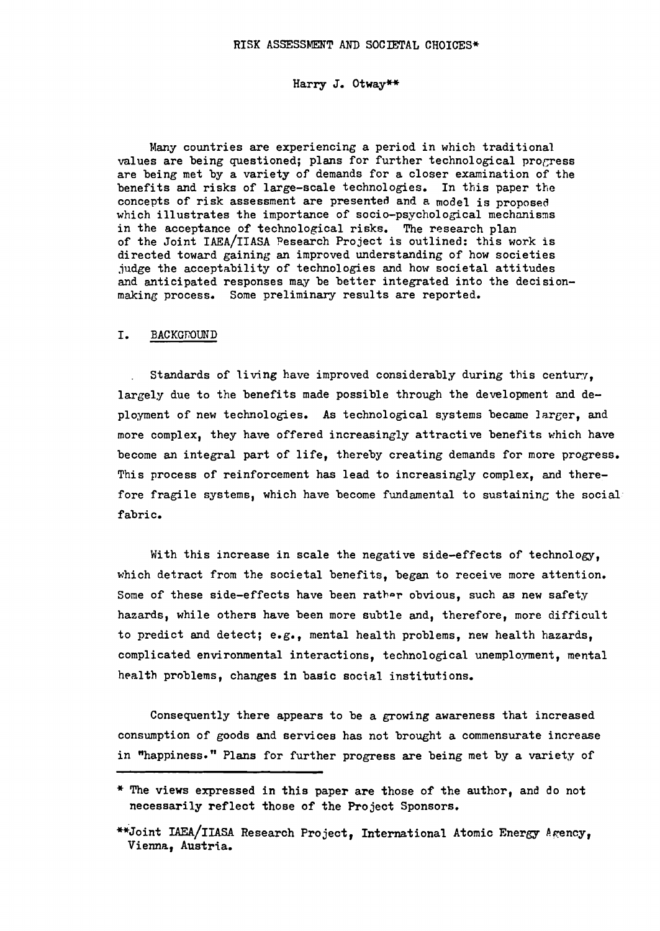### Harry J. Otway\*\*

Many countries are experiencing a period in which traditional values are being questioned; plans for further technological progress are being met by a variety of demands for a closer examination of the benefits and risks of large-scale technologies. In this paper the concepts of risk assessment are presented and a model is proposed which illustrates the importance of socio-psychological mechanisms in the acceptance of technological risks. The research plan of the Joint lAEA/IIASA Pesearch Project is outlined: this work is directed toward gaining an improved understanding of how societies judge the acceptability of technologies and how societal attitudes and anticipated responses may be better integrated into the decisionmaking process. Some preliminary results are reported.

#### I. BACKGroUND

Standards of living have improved considerably during this century. largely due to the benefits made possible through the development and deployment of new technologies. As technological systems became larger, and more complex, they have offered increasingly attractive benefits which have become an integral part of life, thereby creating demands for more progress. This process of reinforcement has lead to increasingly complex, and therefore fragile systems, which have become fundamental to sustaining the social fabric.

With this increase in scale the negative side-effects of technology, which detract from the societal benefits, began to receive more attention. Some of these side-effects have been rather obvious, such as new safety hazards, while others have been more subtle and, therefore, more difficult to predict and detect; e.g., mental health problems, new health hazards, complicated environmental interactions, technological unemployment, mental health problems, changes in basic social institutions.

Consequently there appears to be a growing awareness that increased consumption of goods and services has not brought a commensurate increase in "happiness." Plans for further progress are being met by a variety of

<sup>\*</sup> The views expressed in this paper are those of the author, and do not necessarily reflect those of the Project Sponsors.

<sup>\*\*</sup>Joint IAEA/IIASA Research Project, International Atomic Energy Agency, Vienna, Austria.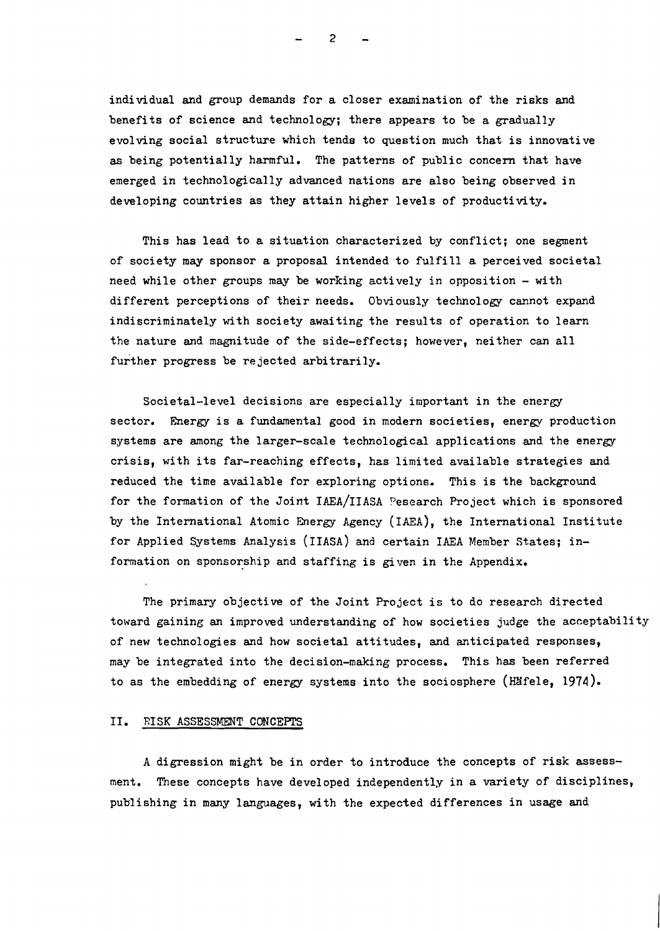individual and group demands for a closer examination of the risks and benefits of science and technology; there appears to be a gradually evolving social structure which tends to question much that is innovative as being potentially harmful. The patterns of public concern that have emerged in technologically advanced nations are also being observed in developing countries as they attain higher levels of productivity.

This has lead to a situation characterized by conflict; one segment of society may sponsor a proposal intended to fulfill a perceived societal need while other groups may be working actively in opposition  $-$  with different perceptions of their needs. Obviously technology cannot expand indiscriminately with society awaiting the results of operation to learn the nature and magnitude of the side-effects; however, neither can all further progress be rejected arbitrarily.

Societal-level decisions are especially important in the energy sector. Energy is a fundamental good in modern societies, energy production systems are among the larger-scale technological applications and the energy crisis, with its far-reaching effects, has limited available strategies and reduced the time available for exploring options. This is the background for the formation of the Joint IAEA/IIASA Pesearch Project which is sponsored by the International Atomic Energy Agency (IAEA), the International Institute for Applied Systems Analysis (IIASA) and certain lAEA Member states; information on sponsorship and staffing is given in the Appendix.

The primary objective of the Joint Project is to do research directed toward gaining an improved understanding of how societies judge the acceptability of new technologies and how societal attitudes, and anticipated responses, may be integrated into the decision-making process. This has been referred to as the embedding of energy systems into the sociosphere (Häfele, 1974).

## II. RISK ASSESSMENT CONCEPTS

A digression might be in order to introduce the concepts of risk assessment. These concepts have developed independently in a variety of disciplines, publishing in many languages, with the expected differences in usage and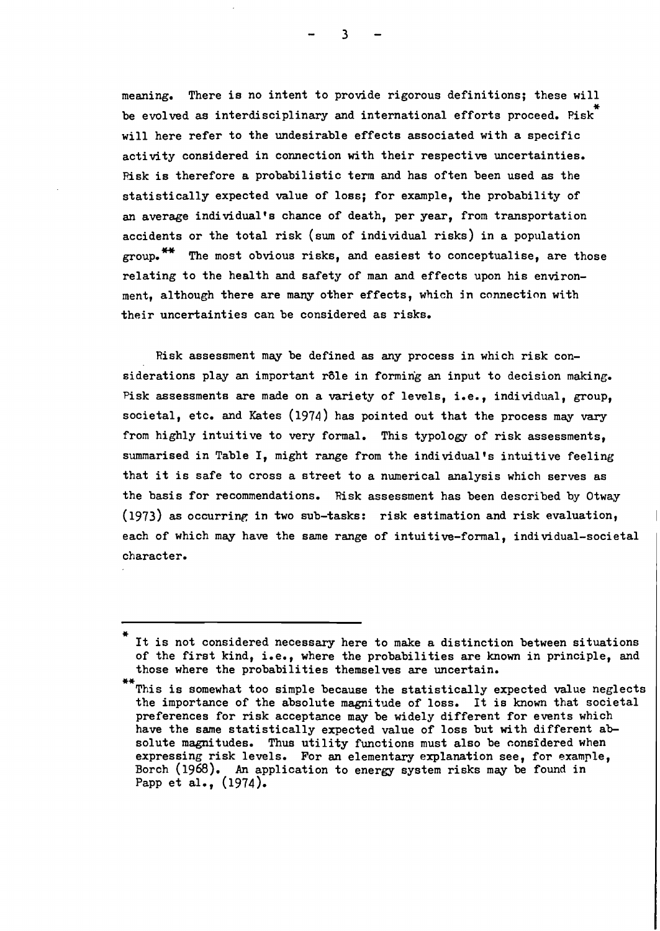meaning. There is no intent to provide rigorous definitions; these will be evolved as interdisciplinary and international efforts proceed. Pisk<sup>\*</sup> will here refer to the undesirable effects associated with a specific activity considered in connection with their respective uncertainties. Risk is therefore a probabilistic term and has often been used as the statistically expected value of loss; for example, the probability of an average individual's chance of death, per year, from transportation accidents or the total risk (sum of individual risks) in a population group.<sup>\*\*</sup> The most obvious risks, and easiest to conceptualise, are those relating to the health and safety of man and effects upon his environment, although there are many other effects, which in connection with their uncertainties can be considered as risks.

Risk assessment may be defined as any process in which risk considerations play an important rôle in forming an input to decision making. Pisk assessments are made on a variety of levels, i.e., individual, group, societal, etc. and Kates (1974) has pointed out that the process may vary from highly intuitive to very formal. This typology of risk assessments, summarised in Table I, might range from the individual's intuitive feeling that it is safe to cross <sup>a</sup> street to <sup>a</sup> numerical analysis which serves as the basis for recommendations. Risk assessment has been described by Otway  $(1973)$  as occurring in two sub-tasks: risk estimation and risk evaluation, each of which may have the same range of intuitive-formal, individual-societal character.

It is not considered necessary here to make a distinction between situations of the first kind, i.e., where the probabilities are known in principle, and those where the probabilities themselves are uncertain.

This is somewhat too simple because the statistically expected value neglects the importance of the absolute magnitude of loss. It is known that societal preferences for risk acceptance may be widely different for events which have the same statistically expected value of loss but with different absolute magnitudes. Thus utility functions must also be considered when expressing risk levels. For an elementary explanation see, for example, Borch (1968). An application to energy system risks may be found in Papp et al., (1974).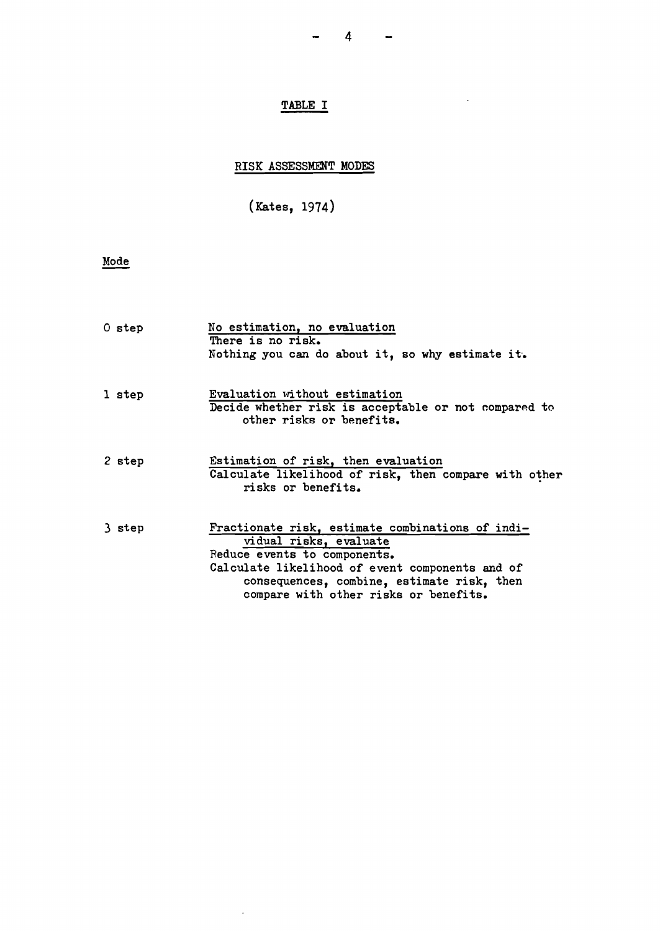$\sim$ 

# TABLE I

# RISK ASSESSMENT MODES

(Kates, 1914)

# Mode

| 0 step | No estimation, no evaluation<br>There is no risk.<br>Nothing you can do about it, so why estimate it.                                                                                                                                                |
|--------|------------------------------------------------------------------------------------------------------------------------------------------------------------------------------------------------------------------------------------------------------|
| 1 step | Evaluation without estimation<br>Decide whether risk is acceptable or not compared to<br>other risks or benefits.                                                                                                                                    |
| 2 step | Estimation of risk, then evaluation<br>Calculate likelihood of risk, then compare with other<br>risks or benefits.                                                                                                                                   |
| 3 step | Fractionate risk, estimate combinations of indi-<br>vidual risks, evaluate<br>Reduce events to components.<br>Calculate likelihood of event components and of<br>consequences, combine, estimate risk, then<br>compare with other risks or benefits. |

 $\sim 10^7$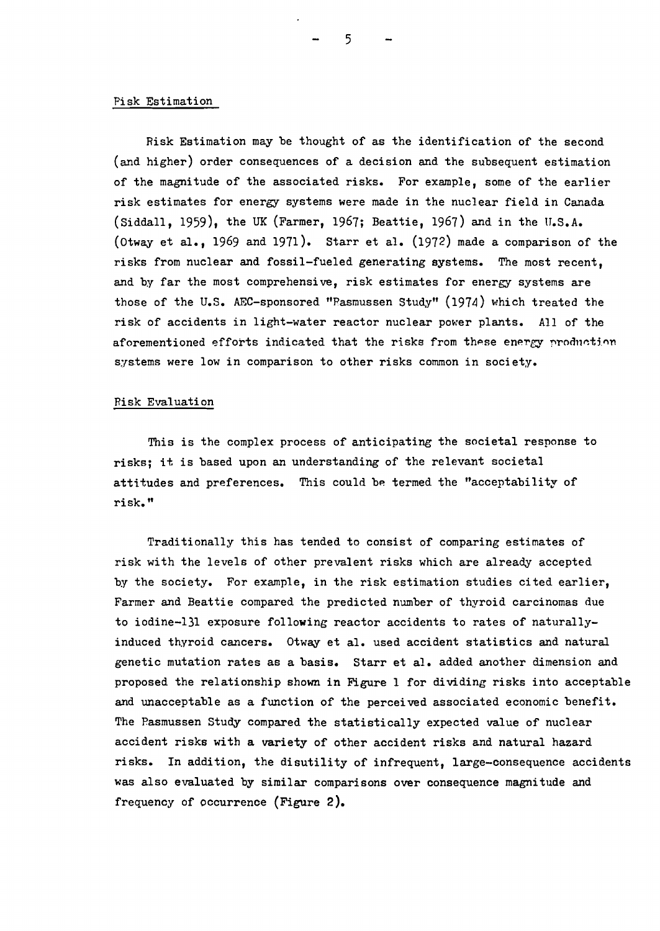#### Pisk Estimation

Risk Estimation may be thought of as the identification of the second (and higher) order consequences of a decision and the subsequent estimation of the magnitude of the associated risks. For example, some of the earlier risk estimates for energy systems were made in the nuclear field in Canada (Siddall, 1959), the UK (Farmer, 1967; Beattie, 1967) and in the U.S.A. (Otway et al., 1969 and 1971). Starr et al.  $(1972)$  made a comparison of the risks from nuclear and fossil-fueled generating systems. The most recent, and by far the most comprehensive, risk estimates for energy systems are those of the U.S. AEC-sponsored "Rasmussen Study"  $(1974)$  which treated the risk of accidents in light-water reactor nuclear power plants. All of the aforementioned efforts indicated that the risks from these energy production systems were low in comparison to other risks common in society.

## Risk Evaluation

This is the complex process of anticipating the societal response to risks; it is based upon an understanding of the relevant societal attitudes and preferences. This could be termed the "acceptability of risk."

Traditionally this has tended to consist of comparing estimates of risk with the levels of other prevalent risks which are already accepted by the society. For example, in the risk estimation studies cited earlier, Farmer and Beattie compared the predicted number of thyroid carcinomas due to iodine-l)l exposure following reactor accidents to rates of naturallyinduced thyroid cancers. Otway et al. used accident statistics and natural genetic mutation rates as a basis. Starr et al. added another dimension and proposed the relationship shown in Figure 1 for dividing risks into acceptable and unacceptable as a function of the perceived associated economic benefit. The Pasmussen study compared the statistically expected value of nuclear accident risks with a variety of other accident risks and natural hazard risks. In addition, the disutility of infrequent, large-consequence accidents was also evaluated by similar comparisons over consequence magnitude and frequency of occurrence (Figure 2).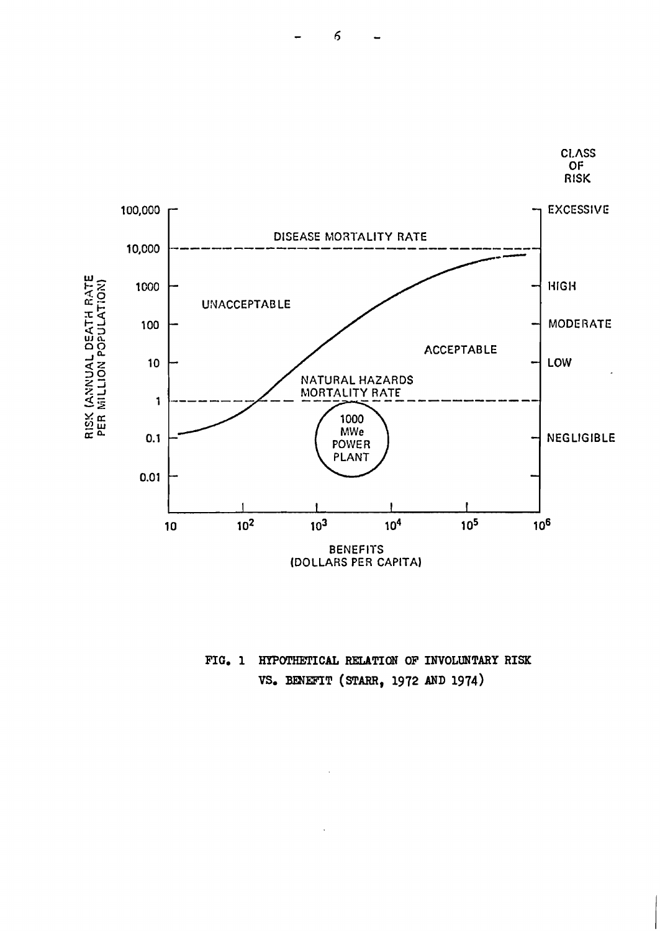

FIG. 1 HYPOTHETICAL RELATION OF INVOLUNTARY RISK VS. BENEFIT (STARR, 1972 AND 1974)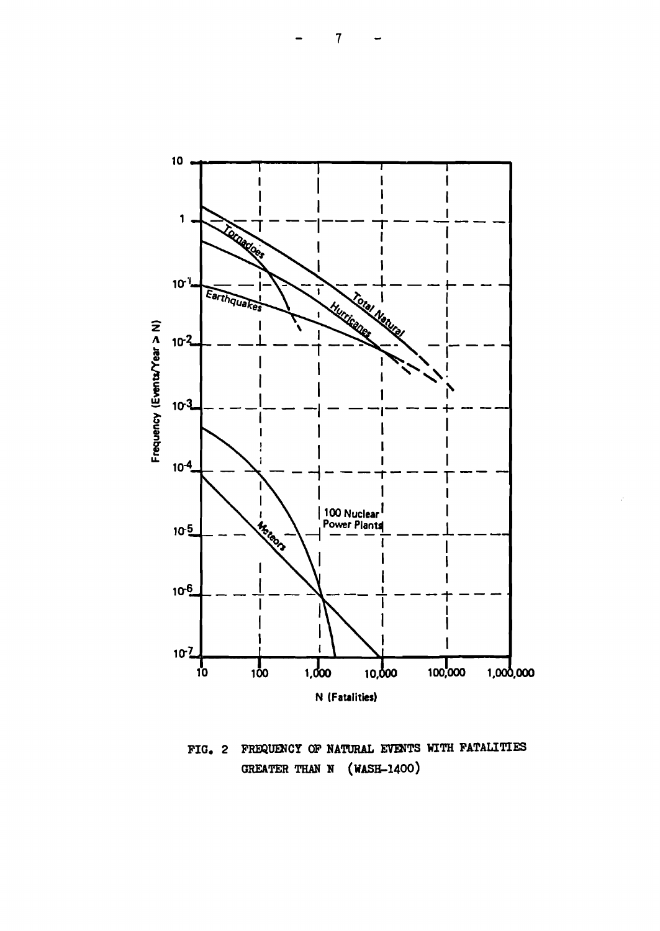



FIG. 2 FREQUENCY OF NATURAL EVENTS WITH FATALITIES GREATER THAN N (WASH-1400)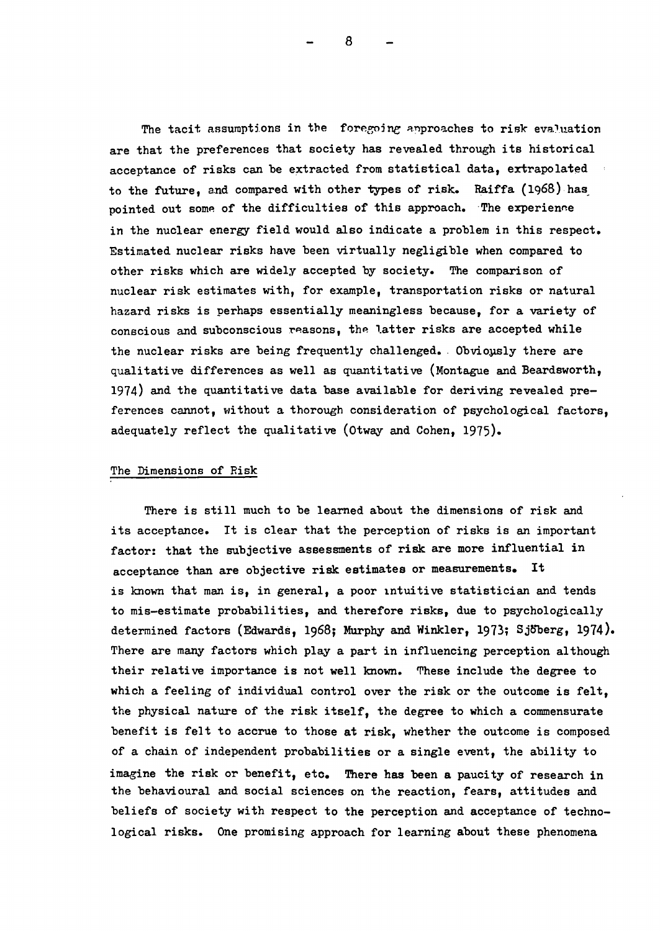The tacit assumptions in the foregoing approaches to risk evaluation are that the preferences that society has revealed through its historical acceptance of risks can be extracted from statistical data, extrapolated to the future, and compared with other types of risk. Raiffa  $(1968)$  has pointed out some of the difficulties of this approach. The experience in the nuclear energy field would also indicate a problem in this respect. Estimated nuclear risks have been virtually negligible when compared to other risks which are widely accepted by society. The comparison of nuclear risk estimates with, for example, transportation risks or natural hazard risks is perhaps essentially meaningless because, for a variety of conscious and subconscious reasons, the latter risks are accepted while the nuclear risks are being frequently challenged. Obviously there are qualitative differences as well as quantitative (Montague and Beardsworth, 1974) and the quantitative data base available for deriving revealed preferences cannot, without a thorough consideration of psychological factors, adequately reflect the qualitative (Otway and Cohen, 1975).

## The Dimensions of Risk

There is still much to be learned about the dimensions of risk and its acceptance. It is clear that the perception of risks is an important factor: that the subjective assessments of risk are more influential in acceptance than are objective risk estimates or measurements. It is known that man is, in general, a poor intuitive statistician and tends to mis-estimate probabilities, and therefore risks, due to psychologically determined factors (Edwards, 1968; Murphy and Winkler, 1973; Sjöberg, 1974). There are many factors which play a part in influencing perception although their relative importance is not well known. These include the degree to which a feeling of individual control over the risk or the outcome is felt, the physical nature of the risk itself, the degree to which a commensurate benefit is felt to accrue to those at risk, whether the outcome is composed of a chain of independent probabilities or a single event, the ability to imagine the risk or benefit, etc. There has been a paucity of research in the behavioural and social sciences on the reaction, fears, attitudes and beliefs of society with respect to the perception and acceptance of technological risks. One promising approach for learning about these phenomena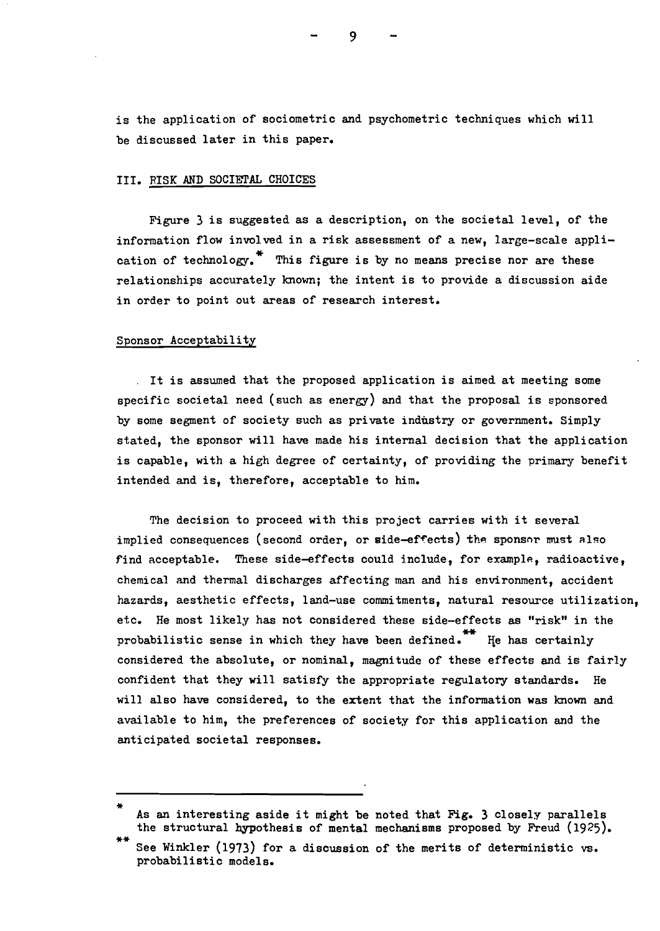is the application of sociometric and psychometric techniques which will be discussed later in this paper.

#### III. RISK AND SOCIETAL CHOICES

Figure 3 is suggested as a description, on the societal level, of the information flow involved in a risk assessment of a new, large-scale application of technology.<sup>\*</sup> This figure is by no means precise nor are these relationships accurately known; the intent is to provide a discussion aide in order to point out areas of research interest.

## Sponsor Acceptability

. It is assumed that the proposed application is aimed at meeting some specific societal need (such as energy) and that the proposal is sponsored by some segment of society such as private industry or government. Simply stated, the sponsor will have made his internal decision that the application is capable, with a high degree of certainty, of providing the primary benefit intended and is, therefore, acceptable to him.

The decision to proceed with this project carries with it several implied consequences (second order, or side-effects) the sponsor must also find acceptable. These side-effects could include, for example, radioactive, chemical and thermal discharges affecting man and his environment, accident hazards, aesthetic effects, land-use commitments, natural resource utilization, etc. He most likely has not considered these side-effects as "risk" in the probabilistic sense in which they have been defined.<sup>\*\*</sup> He has certainly considered the absolute, or nominal, magnitude of these effects and is fairly confident that they will satisfy the appropriate regulatory standards. He will also have considered, to the extent that the information was known and available to him, the preferences of society for this application and the anticipated societal responses.

As an interesting aside it might be noted that Fig. 3 closely parallels the structural hypothesis of mental mechanisms proposed by Freud (1925).

See Winkler (1973) for a discussion of the merits of deterministic vs. probabilistic models.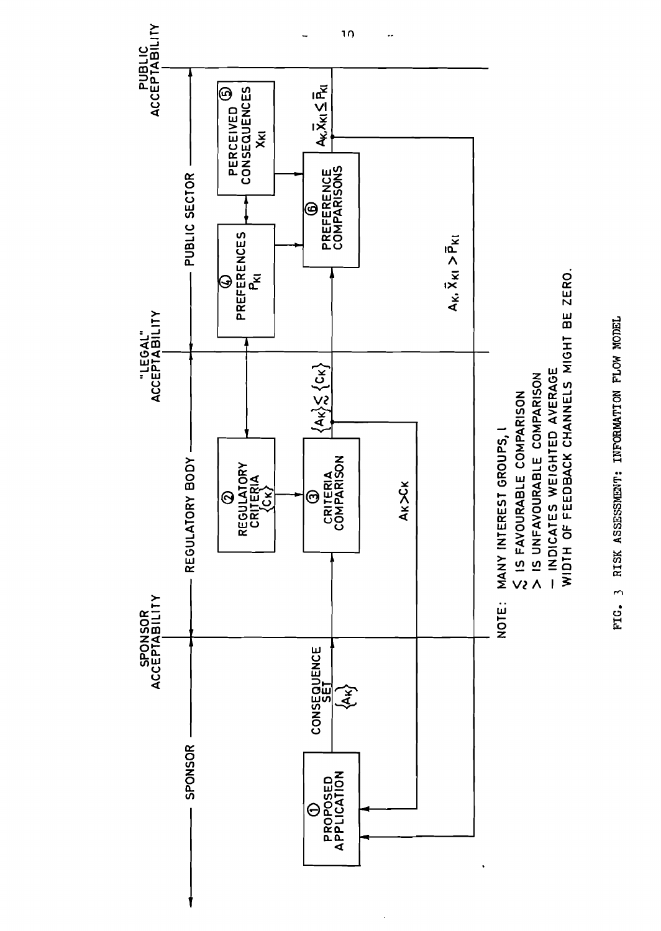

FIG. 3 RISK ASSESSMENT: INFORMATION FLOW MODEL FIG. 3 RISK ASSESSMENT: INFORMATION FLOW MODEL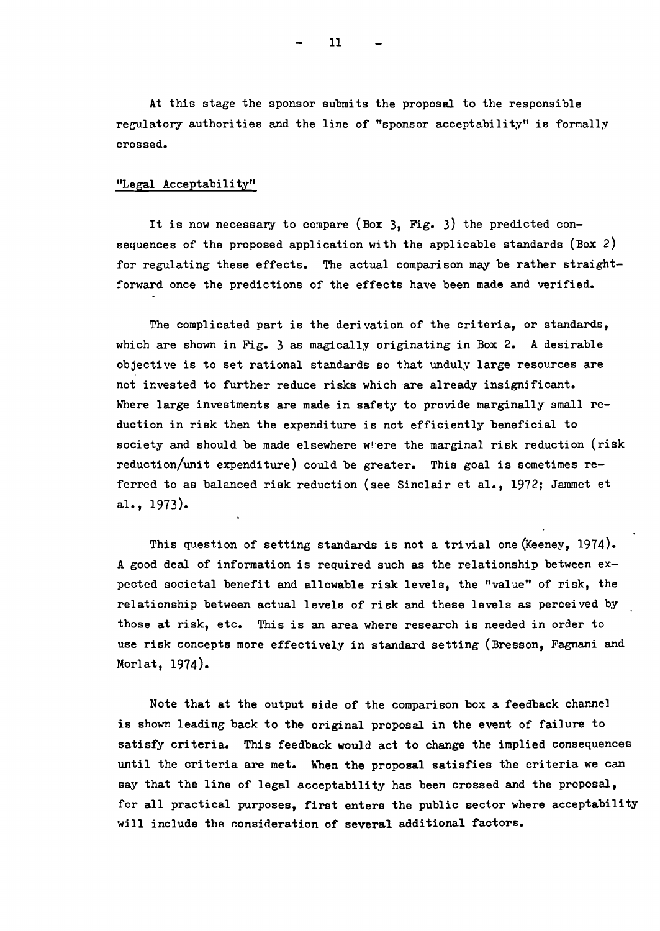At this stage the sponsor submits the proposal to the responsible regulatory authorities and the line of "sponsor acceptability" is formally crossed.

## "Legal Acceptability"

It is now necessary to compare (Box 3, Fig. 3) the predicted consequences of the proposed application with the applicable standards (Box 2) for regulating these effects. The actual comparison may be rather straightforward once the predictions of the effects have been made and verified.

The complicated part is the derivation of the criteria, or standards, which are shown in Fig. 3 as magically originating in Box 2. A desirable objective is to set rational standards so that unduly large resources are not invested to further reduce risks which are already insignificant. Where large investments are made in safety to provide marginally small reduction in risk then the expenditure is not efficiently beneficial to society and should be made elsewhere where the marginal risk reduction (risk reduction/unit expenditure) could be greater. This goal is sometimes referred to as balanced risk reduction (see Sinclair et al., 1972; Jammet et al., 1973).

This question of setting standards is not a trivial one (Keeney, 1974). A good deal of information is required such as the relationship between expected societal benefit and allowable risk levels, the "value" of risk, the relationship between actual levels of risk and these levels as perceived by those at risk, etc. This is an area where research is needed in order to use risk concepts more effectively in standard setting (Bresson, Fagnani and Morlat, 1974).

Note that at the output side of the comparison box a feedback channel is shown leading back to the original proposal in the event of failure to satisfy criteria. This feedback would act to change the implied consequences until the criteria are met. When the proposal satisfies the criteria we can say that the line of legal acceptability has been crossed and the proposal, for all practical purposes, first enters the public sector where acceptability will include the consideration of several additional factors.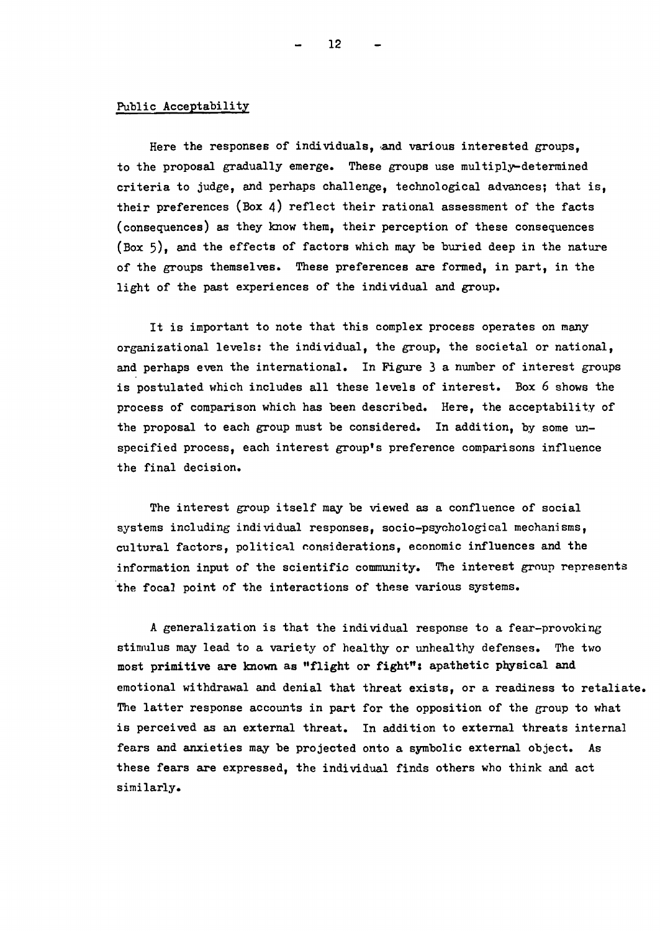## Public Acceptability

Here the responses of individuals, and various interested groups. to the proposal gradually emerge. These groups use multiply-determined criteria to judge, and perhaps challenge, technological advances; that is, their preferences (Box 4) reflect their rational assessment of the facts (consequences) as they know them, their perception of these consequences (Box 5), and the effects of factors which may be buried deep in the nature of the groups themselves. These preferences are formed, in part, in the light of the past experiences of the individual and group.

It is important to note that this complex process operates on many organizational levels: the individual, the group, the societal or national, and perhaps even the international. In Figure 3 a number of interest groups is postulated which includes all these levels of interest. Box 6 shows the process of comparison which has been described. Here, the acceptability of the proposal to each group must be considered. In addition, by some unspecified process, each interest group's preference comparisons influence the final decision.

The interest group itself may be viewed as a confluence of social systems including individual responses, socio-psychological mechanisms, cultural factors, political considerations, economic influences and the information input of the scientific community. The interest group represents the focal point of the interactions of these various systems.

A generalization is that the individual response to a fear-provoking stimulus may lead to a variety of healthy or unhealthy defenses. The two most primitive are known as "flight or fight": apathetic physical and emotional withdrawal and denial that threat exists, or a readiness to retaliate. The latter response accounts in part for the opposition of the group to what is perceived as an external threat. In addition to external threats internal fears and anxieties may be projected onto a symbolic external object. As these fears are expressed, the individual finds others who think and act similarly.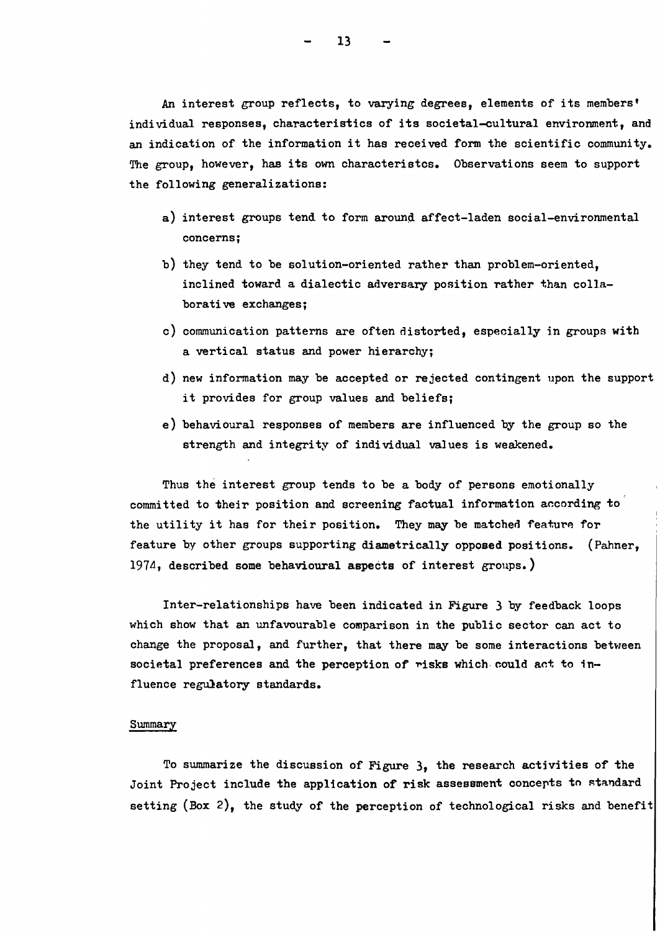An interest group reflects, to varying degrees, elements of its members' individual responses, characteristics of its societal-cultural environment, and

an indication of the information it has received form the scientific community. The group, however, has its own characteristcs. Observations seem to support the following generalizations:

- a) interest groups tend to form around affect-laden social-environmental concerns;
- b) they tend to be solution-oriented rather than problem-oriented, inclined toward a dialectic adversary position rather than collaborative exchanges;
- c) communication patterns are often distorted, especially in groups with a vertical status and power hierarchy;
- d) new information may be accepted or rejected contingent upon the support it provides for group values and beliefs;
- e) behavioural responses of members are influenced by the group so the strength and integrity of individual values is weakened.

Thus the interest group tends to be a body of persons emotionally committed to their position and screening factual information according to the utility it has for their position. They may be matched feature for feature by other groups supporting diametrically opposed positions. (Pahner, 197d, described some behavioural aspects of interest groups.)

Inter-relationships have been indicated in Figure 3 by feedback loops which show that an unfavourable comparison in the public sector can act to change the proposal, and further, that there may be some interactions between societal preferences and the perception of risks which could act to influence regulatory standards.

## Summary

To summarize the discussion of Figure 3, the research activities of the Joint Project include the application of risk assessment concepts to standard setting (Box 2), the study of the perception of technological risks and benefit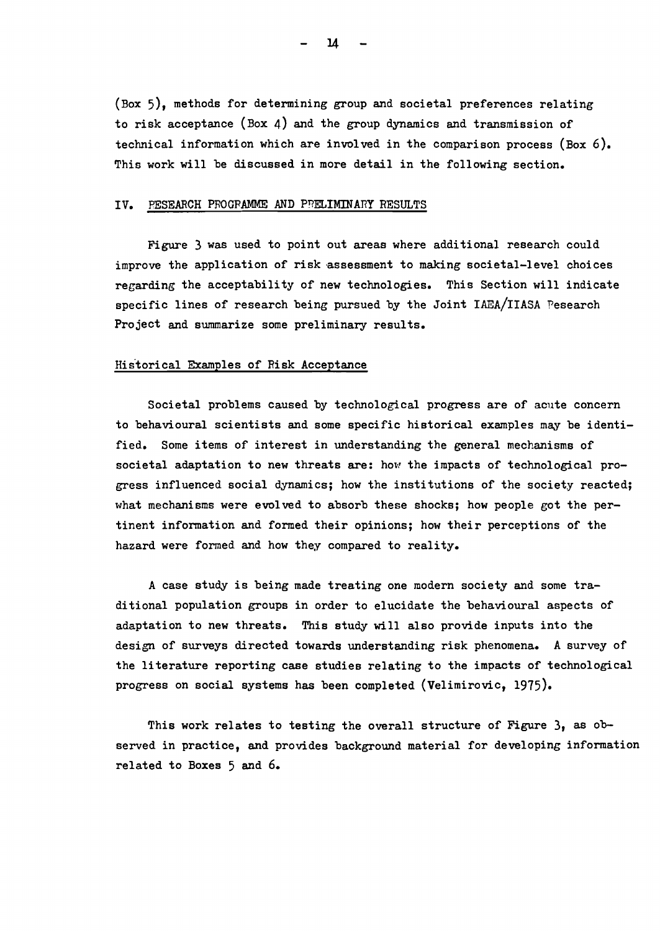(Box 5), methods for determining group and societal preferences relating to risk acceptance (Box 4) and the group dynamics and transmission of technical information which are involved in the comparison process (Box 6). This work will be discussed in more detail in the following section.

#### IV. PESEARCH PROGRAMME AND PRELIMINARY RESULTS

Figure 3 was used to point out areas where additional research could improve the application of risk assessment to making societal-level choices regarding the acceptability of new technologies. This Section will indicate specific lines of research being pursued by the Joint IAEA/IIASA Pesearch Project and summarize some preliminary results.

#### Historical Examples of Risk Acceptance

Societal problems caused by technological progress are of acute concern to behavioural scientists and some specific historical examples may be identified. Some items of interest in understanding the general mechanisms of societal adaptation to new threats are: how the impacts of technological progress influenced social dynamics; how the institutions of the society reacted; what mechanisms were evolved to absorb these shocks; how people got the pertinent information and formed their opinions; how their perceptions of the hazard were formed and how they compared to reality.

A case study is being made treating one modern society and some traditional population groups in order to elucidate the behavioural aspects of adaptation to new threats. This study will also provide inputs into the design of surveys directed towards understanding risk phenomena. A survey of the literature reporting case studies relating to the impacts of technological progress on social systems has been completed (Velimirovic, 1915).

This work relates to testing the overall structure of Figure  $3$ , as observed in practice, and provides background material for developing information related to Boxes 5 and 6.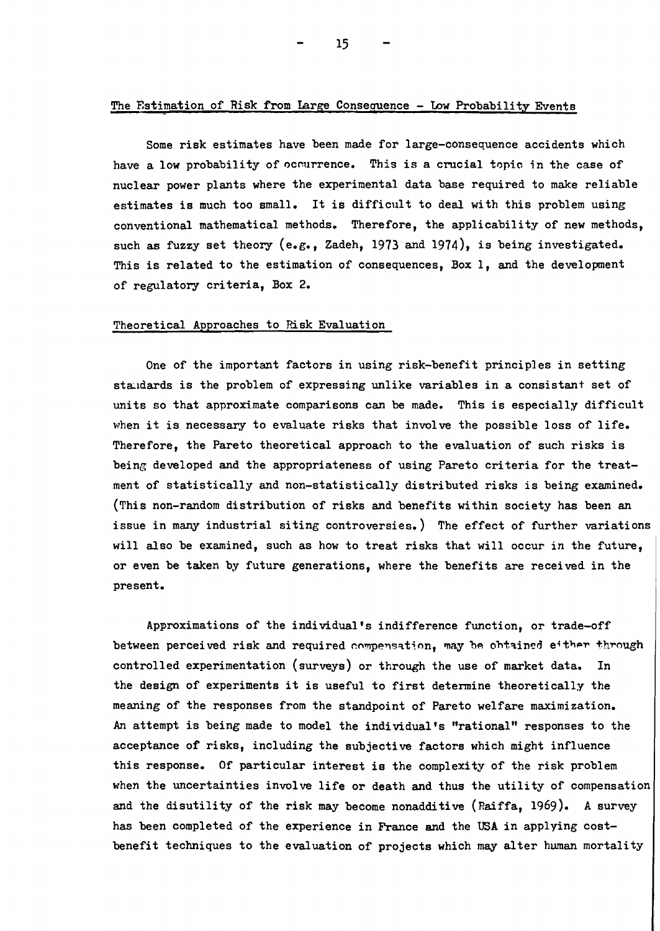## The Estimation of Risk from Large Consequence - Low Probability Events

Some risk estimates have been made for large-consequence accidents which have a low probability of occurrence. This is a crucial topic in the case of nuclear power plants where the experimental data base required to make reliable estimates is much too small. It is difficult to deal with this problem using conventional mathematical methods. Therefore, the applicability of new methods, such as fuzzy set theory (e.g., Zadeh, 1973 and 1974), is being investigated. This is related to the estimation of consequences, Box I, and the development of regulatory criteria, Box 2.

## Theoretical Approaches to Risk Evaluation

One of the important factors in using risk-benefit principles in setting standards is the problem of expressing unlike variables in a consistant set of units so that approximate comparisons can be made. This is especially difficult when it is necessary to evaluate risks that involve the possible loss of life. Therefore, the Pareto theoretical approach to the evaluation of such risks is being developed and the appropriateness of using Pareto criteria for the treatment of statistically and non-statistically distributed risks is being examined. (This non-random distribution of risks and benefits within society has been an issue in many industrial siting controversies.) The effect of further variations will also be examined, such as how to treat risks that will occur in the future, or even be taken by future generations, where the benefits are received in the present.

Approximations of the individual's indifference function, or trade-off between perceived risk and required compensation, may be obtained either through controlled experimentation (surveys) or through the use of market data. In the design of experiments it is useful to first determine theoretically the meaning of the responses from the standpoint of Pareto welfare maximization. An attempt is being made to model the individual's "rational" responses to the acceptance of risks, including the subjective factors which might influence this response. Of particular interest is the complexity of the risk problem when the uncertainties involve life or death and thus the utility of compensation and the disutility of the risk may become nonadditive (Raiffa, 1969). A survey has been completed of the experience in France and the USA in applying costbenefit techniques to the evaluation of projects which may alter human mortality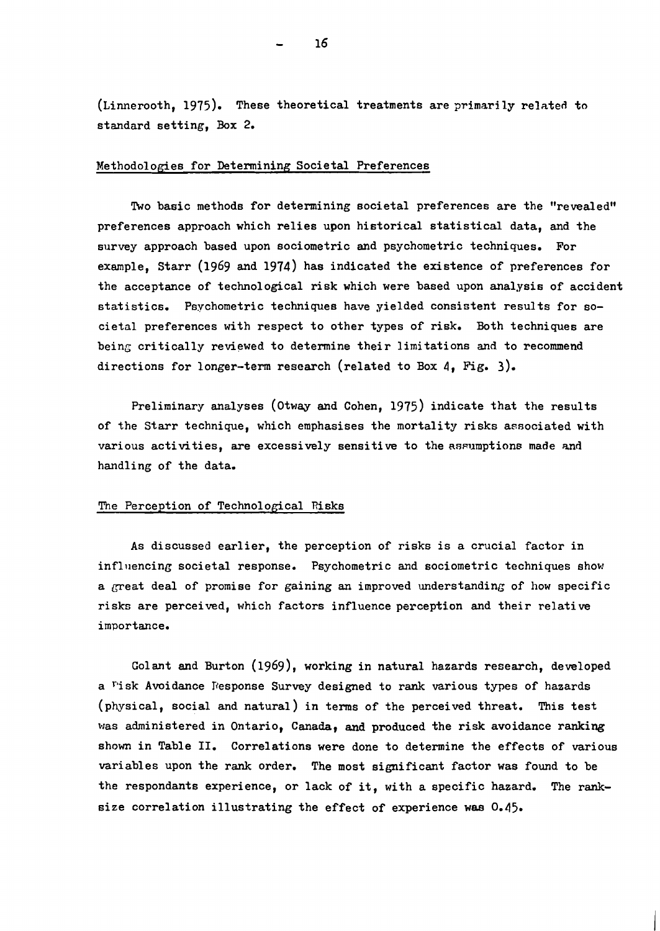(Linnerooth, 1975). These theoretical treatments are primarily related to standard setting, Box 2.

## Methodologies for Determining Societal Preferences

Two basic methods for determining societal preferences are the "revealed" preferences approach which relies upon historical statistical data, and the survey approach based upon sociometric and psychometric techniques. For example, Starr (1969 and 1974) has indicated the existence of preferences for the acceptance of technological risk which were based upon analysis of accident statistics. Psychometric techniques have yielded consistent results for societal preferences with respect to other types of risk. Both techniques are being critically reviewed to determine their limitations and to recommend directions for longer-term research (related to Box 4, Fig. 3).

Preliminary analyses (otway and Cohen, 1975) indicate that the results of the Starr technique, which emphasises the mortality risks associated with various activities, are excessively sensitive to the assumptions made and handling of the data.

### The Perception of Technological Risks

As discussed earlier, the perception of risks is a crucial factor in  $influencing \text{social response.}$  Psychometric and sociometric techniques show a great deal of promise for gaining an improved understanding of how specific risks are perceived, which factors influence perception and their relative importance.

Go1ant and Burton (1969), working in natural hazards research, developed a Fisk Avoidance Fesponse Survey designed to rank various types of hazards (physical, social and natural) in terms of the perceived threat. This test was administered in Ontario, Canada, and produced the risk avoidance ranking shown in Table II. Correlations were done to determine the effects of various variables upon the rank order. The most significant factor was found to be the respondants experience, or lack of it, with a specific hazard. The ranksize correlation illustrating the effect of experience was 0.45.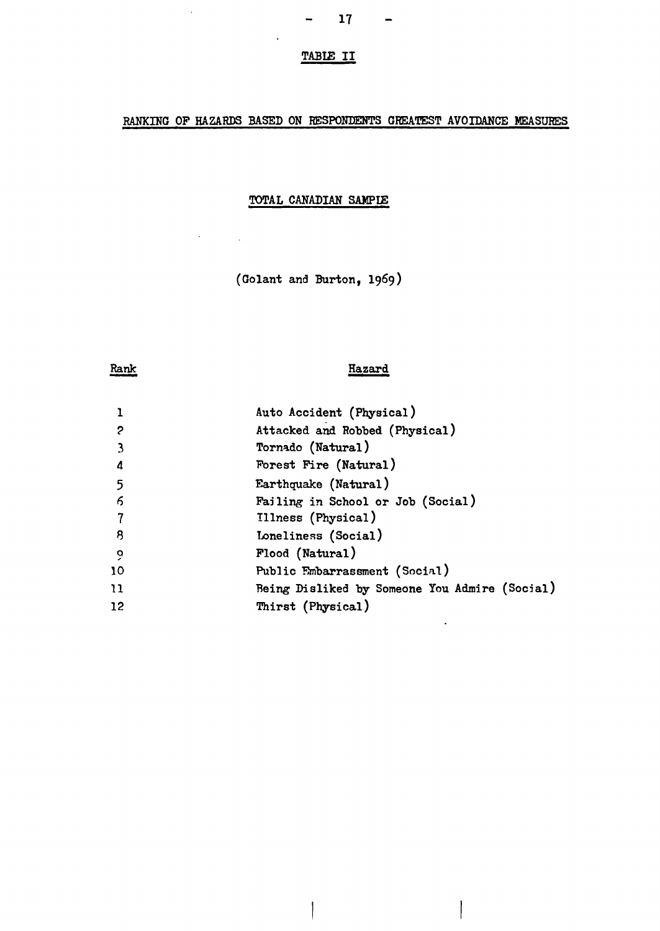# TABlE II

# RANKING OF HAZARDS BASED ON RESPONDENTS GREATEST AVOIDANCE MEASURES

## TOTAL CANADIAN SAMPIE

(Go1ant and Burton, 1969)

# Rank -

 $\mathcal{A}$ 

 $\ddot{\phantom{0}}$ 

 $\ddot{\phantom{0}}$ 

## Hazard

İ

|            | Auto Accident (Physical)                      |
|------------|-----------------------------------------------|
| 2          | Attacked and Robbed (Physical)                |
|            | Tornado (Natural)                             |
| 4          | Forest Fire (Natural)                         |
| 5          | Earthquake (Natural)                          |
| $\epsilon$ | Failing in School or Job (Social)             |
|            | Illness (Physical)                            |
| -8         | Loneliness (Social)                           |
| 9          | Flood (Natural)                               |
| 10         | Public Embarrassment (Social)                 |
| 11         | Being Disliked by Someone You Admire (Social) |
| 12         | Thirst (Physical)                             |

I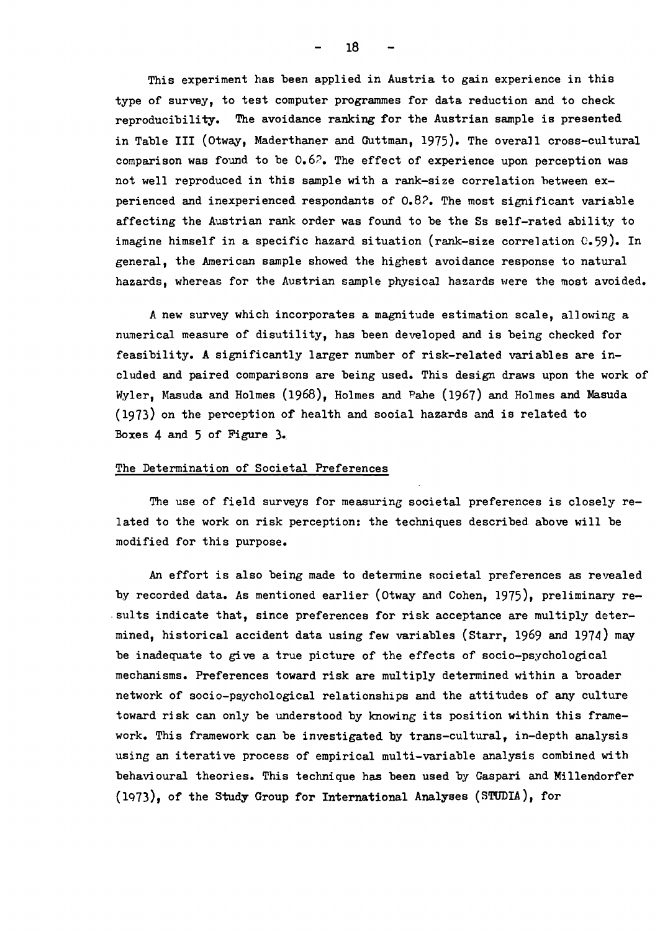This experiment has been applied in Austria to gain experience in this type of survey, to test computer programmes for data reduction and to check reproducibility. The avoidance ranking for the Austrian sample is presented in Table III (Otway, Maderthaner and Guttman, 1975). The overall cross-cultural comparison was found to be  $0.62$ . The effect of experience upon perception was not well reproduced in this sample with a rank-size correlation between experienced and inexperienced respondants of 0.8?. The most significant variable affecting the Austrian rank order was found to be the Ss self-rated ability to imagine himself in a specific hazard situation (rank-size correlation 0.59). In general, the American sample showed the highest avoidance response to natural hazards, whereas for the Austrian sample physical hazards were the most avoided.

A new survey which incorporates a magnitude estimation scale, allowing a numerical measure of disutility, has been developed and is being checked for feasibility. A significantly larger number of risk-related variables are included and paired comparisons are being used. This design draws upon the work of Wyler, Masuda and Holmes  $(1968)$ , Holmes and Pahe  $(1967)$  and Holmes and Masuda (1973) on the perception of health and social hazards and is related to Boxes  $4$  and  $5$  of Figure  $3.$ 

### The Determination of Societal Preferences

The use of field surveys for measuring societal preferences is closely related to the work on risk perception: the techniques described. above will be modified for this purpose.

An effort is also being made to determine societal preferences as revealed by recorded data. As mentioned earlier (Otway and Cohen, 1975), preliminary re- .suIts indicate that, since preferences for risk acceptance are multiply determined, historical accident data using few variables (Starr, 1969 and 1974) may be inadequate to give a true picture of the effects of socio-psychological mechanisms. Preferences toward risk are multiply determined within a broader network of socio-psychological relationships and the attitudes of any culture toward risk can only be understood by knowing its position within this framework. This framework can be investigated by trans-cultural, in-depth analysis using an iterative process of empirical multi-variable analysis combined with behavioural theories. This technique has been used by Gaspari and Millendorfer  $(1973)$ , of the Study Group for International Analyses (STUDIA), for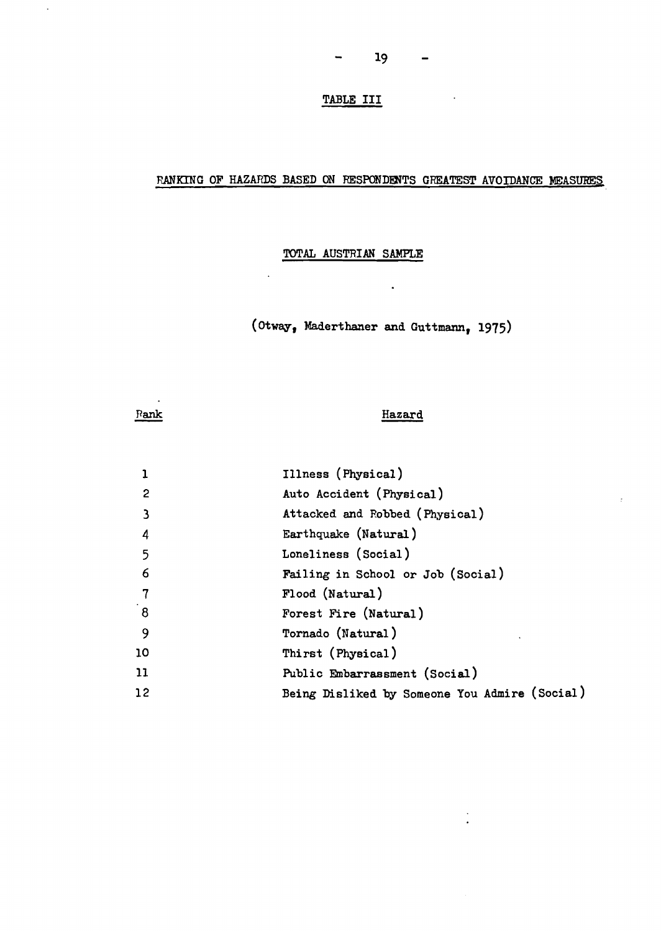$\sim$   $\sim$ 

# TABLE III

 $\qquad \qquad \blacksquare$ 

# RANKING OF HAZARDS BASED ON RESPONDENTS GREATEST AVOIDANCE MEASURES

# TOTAL AUSTRIAN SAMPLE

 $\ddot{\phantom{a}}$ 

(Otway, Maderthaner and Guttmann, 1975)

 $\ddot{\phantom{1}}$ 

Rank

 $\hat{\mathcal{A}}$ 

## Hazard

 $\frac{1}{2}$ 

| 1                    | Illness (Physical)                            |
|----------------------|-----------------------------------------------|
| $\overline{2}$       | Auto Accident (Physical)                      |
| 3                    | Attacked and Robbed (Physical)                |
| $\boldsymbol{4}$     | Earthquake (Natural)                          |
| $5\overline{)}$      | Loneliness (Social)                           |
| 6                    | Failing in School or Job (Social)             |
| $\overline{7}$       | Flood (Natural)                               |
| $\mathbf{8}^{\circ}$ | Forest Fire (Natural)                         |
| -9                   | Tornado (Natural)                             |
| 10                   | Thirst (Physical)                             |
| 11                   | Public Embarrassment (Social)                 |
| 12                   | Being Disliked by Someone You Admire (Social) |
|                      |                                               |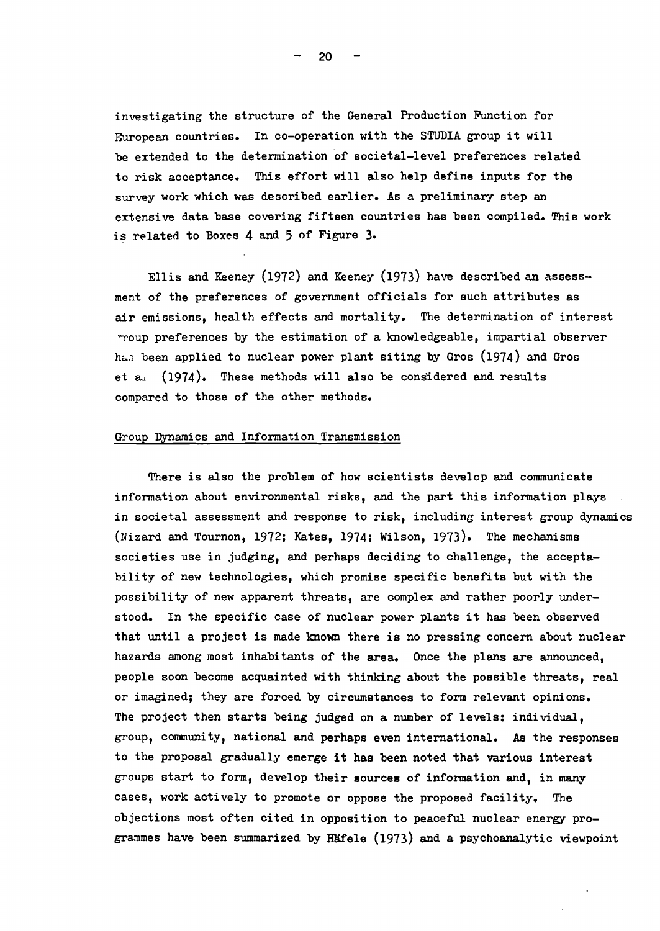investigating the structure of the General Production Function for European countries. In co-operation with the STUDIA group it will be extended to the determination of societal-level preferences related to risk acceptance. This effort will also help define inputs for the survey work which was described earlier. As a preliminary step an extensive data base covering fifteen countries has been compiled. This work is related to Boxes  $4$  and  $5$  of Figure 3.

Ellis and Keeney (1972) and Keeney (1973) have described an assessment of the preferences of government officials for such attributes as air emissions, health effects and mortality. The determination of interest ~oup preferences by the estimation of a knowledgeable, impartial observer has been applied to nuclear power plant siting by Gros  $(1974)$  and Gros et  $a_{\perp}$  (1974). These methods will also be considered and results compared to those of the other methods.

## Group Dynamics and Information Transmission

There is also the problem of how scientists develop and communicate information about environmental risks, and the part this information plays in societal assessment and response to risk, including interest group dynamics (Nizard and Tournon, 1972; Kates, 1974; Wilson, 1973). The mechanisms societies use in judging, and perhaps deciding to challenge, the acceptability of new technologies, which promise specific benefits but with the possibility of new apparent threats, are complex and rather poorly understood. In the specific case of nuclear power plants it has been observed that until a project is made known there is no pressing concern about nuclear hazards among most inhabitants of the area. Once the plans are announced, people soon become acquainted with thinking about the possible threats, real or imagined; they are forced by circumstances to form relevant opinions. The project then starts being judged on a number of levels: individual, group, community, national and perhaps even international. As the responses to the proposal gradually emerge it has been noted that various interest groups start to form, develop their sources of information and, in many cases, work actively to promote or oppose the proposed facility. The objections most often cited in opposition to peaceful nuclear energy programmes have been summarized by HKfe1e (1973) and a psychoanalytic viewpoint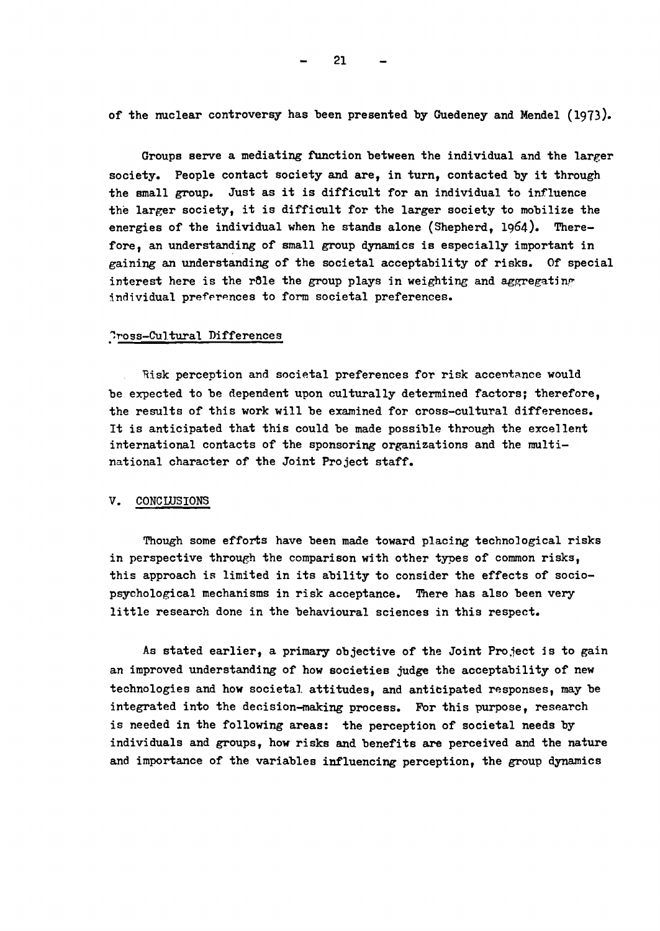of the nuclear controversy has been presented by Guedeney and Mendel (1913).

Groups serve a mediating function between the individual and the larger society. People contact society and are, in turn, contacted by it through the small group. Just as it is difficult for an individual to influence the larger society, it is difficult for the larger society to mobilize the energies of the individual when he stands alone (Shepherd, 1964). Therefore, an understanding of small group dynamics is especially important in gaining an understanding of the societal acceptability of risks. Of special interest here is the rôle the group plays in weighting and aggregating individual preferences to form societal preferences.

## Pross-Cultural Differences

Risk perception and societal preferences for risk accentance would be expected to be dependent upon culturally determined factors; therefore, the results of this work will be examined for cross-cultural differences. It is anticipated that this could be made possible through the excellent international contacts of the sponsoring organizations and the multinational character of the Joint Project staff.

## **V.** CONCLUSIONS

Though some efforts have been made toward placing technological risks in perspective through the comparison with other types of common risks, this approach is limited in its ability to consider the effects of sociopsychological mechanisms in risk acceptance. There has also been very little research done in the behavioural sciences in this respect.

As stated earlier, a primary objective of the Joint Project is to gain an improved understanding of how societies judge the acceptability of new technologies and how societal attitudes, and anticipated responses, may be integrated into the decision-making process. For this purpose, research is needed in the following areas: the perception of societal needs by individuals and groups, how risks and benefits are perceived and the nature and importance of the variables influencing perception, the group dynamics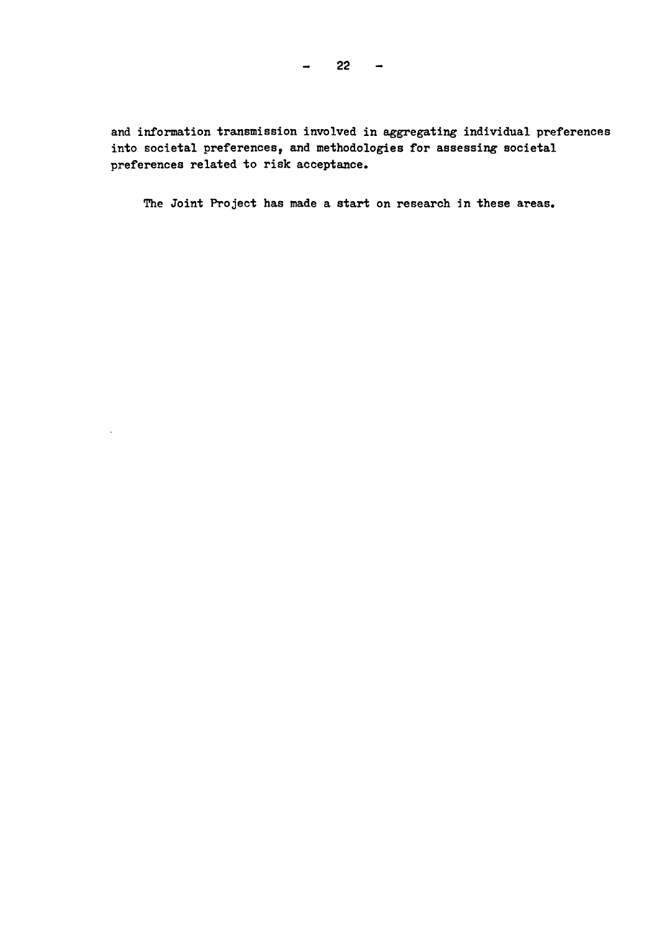$22 -$ 

and information transmission involved in aggregating individual preferences into societal preferences, and methodologies for assessing societal preferences related to risk acceptance.

The Joint Project has made a start on research in these areas.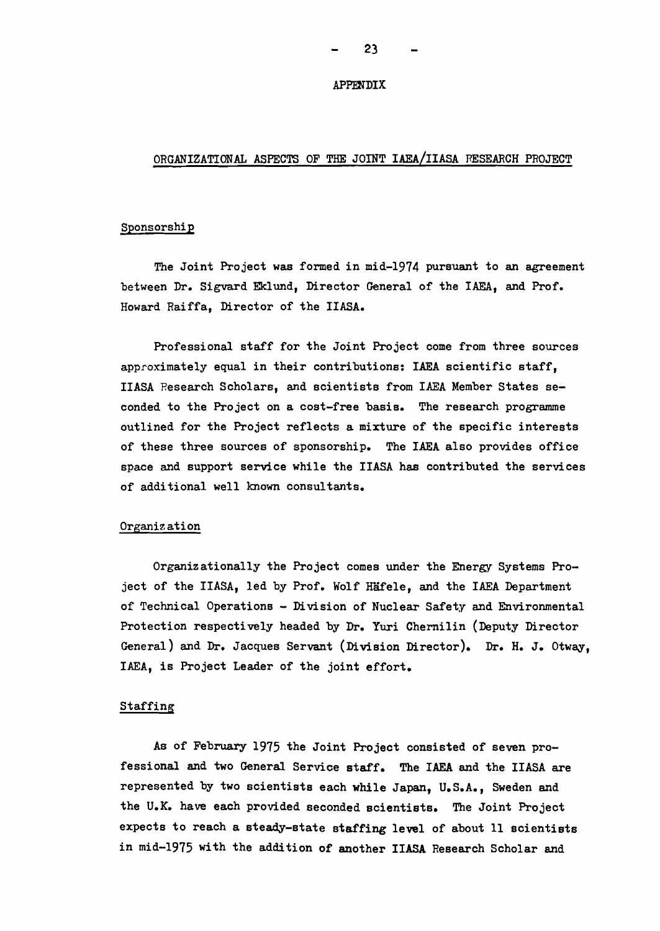#### APPENDIX

## ORGANIZATIONAL ASPECTS OF THE JOINT IAEA/IIASA RESEARCH PROJECT

## Sponsorship

The Joint Project was formed in mid-1914 pursuant to an agreement between Dr. Sigvard Eklund, Director General of the IAEA, and Prof. Howard Raiffa, Director of the IIASA.

Professional staff for the Joint Project come from three sources approximately equal in their contributions: IAEA scientific staff, IIASA Research Scholars, and scientists from IAEA Member States seconded to the Project on a cost-free basis. The research programme outlined for the Project reflects a mixture of the specific interests of these three sources of sponsorship. The IAEA also provides office space and support service while the IIASA has contributed the services of additional well known consultants.

#### Organization

Organizationally the Project comes under the Energy Systems Project of the IIASA, led by Prof. Wolf Häfele, and the IAEA Department of Technical Operations - Division of Nuclear Safety and Environmental Protection respectively headed by Dr. Yuri Chernilin (Deputy Director General) and Dr. Jacques Servant (Division Director). Dr. H. J. Otway, IAEA, is Project Leader of the joint effort.

## Staffing

As of February 1915 the Joint Project consisted of seven professional and two General Service staff. The IAEA and the IIASA are represented by two scientists each while Japan, U.S.A., Sweden and the U.K. have each provided seconded scientists. The Joint Project expects to reach a steady-state staffing level of about 11 scientists in mid-1915 with the addition of another IIASA Research Scholar and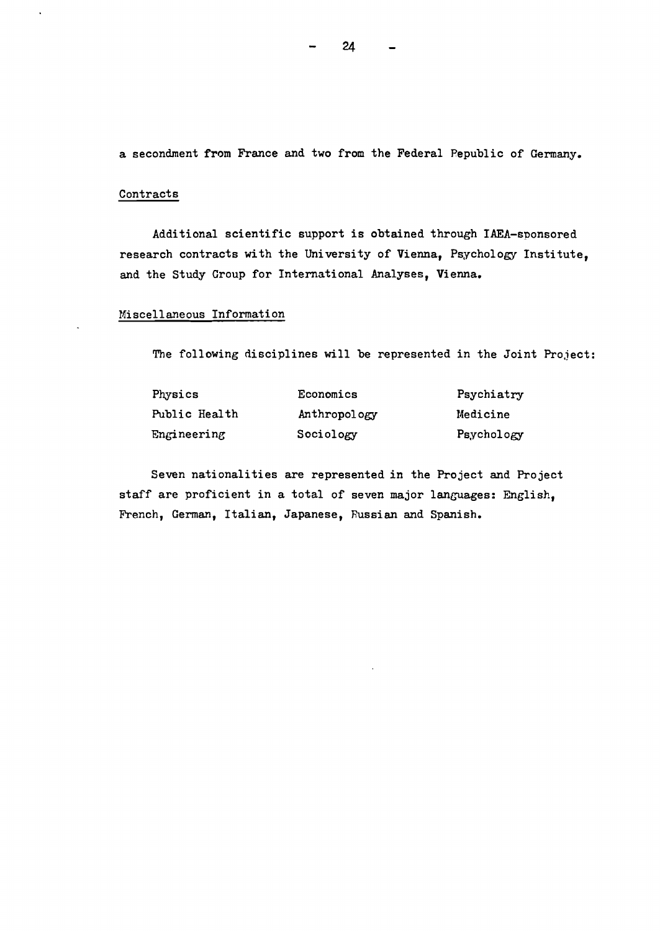a secondment from France and two from the Federal Republic of Germany.

## Contracts

Additional scientific support is obtained through IAEA-sponsored research contracts with the University of Vienna, Psychology Institute, and the Study Group for International Analyses, Vienna.

## Miscellaneous Information

The following disciplines will be represented in the Joint Project:

| Physics       | Economics    | Psychiatry |
|---------------|--------------|------------|
| Public Health | Anthropology | Medicine   |
| Engineering   | Sociology    | Psychology |

Seven nationalities are represented in the Project and Project staff are proficient in a total of seven major languages: English, French, German, Italian, Japanese, Russian and Spanish.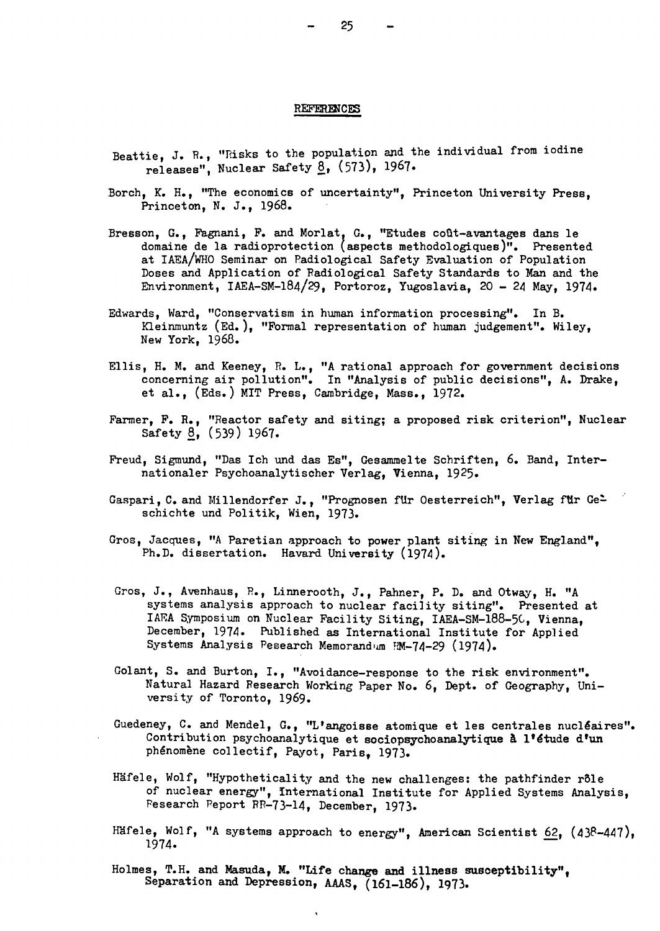#### **REFERENCES**

- Beattie, J. R., "Risks to the population and the individual from iodine releases", Nuclear Safety <u>8</u>, (573), 1967.
- Borch, K. H., "The economics of uncertainty", Princeton University Press, Princeton, N. J., 1968.
- Bresson, G., Fagnani, F. and Morlat, G., "Etudes coût-avantages dans le domaine de la radioprotection (aspects methodologiques)". Presented at IAEA/WHO Seminar on Padiological Safety Evaluation of Population Doses and Application of Radiological Safety Standards to Man and the Environment, IAEA-SM-184/29, Portoroz, Yugoslavia, 20 - 24 May, 1974.
- Edwards, Ward, "Conservatism in human information processing". In B. Kleinmuntz (Ed.), "Formal representation of human judgement". Wiley, New York, 1968.
- Ellis, H. M. and Keeney, R. L., "A rational approach for government decisions concerning air pollution". In "Analysis of public decisions", A. Drake, et al., (Eds.) MIT Press, Cambridge, Mass., 1912.
- Farmer, F. R., "Reactor safety and siting; a proposed risk criterion", Nuclear Safety 8, (539) 1967.
- Freud, Sigmund, "Das Ich und das Es", Gesammelte Schriften, 6. Band, Internationaler Psychoanalytischer Verlag, Vienna, 1925.
- Gaspari, C. and Millendorfer J., "Prognosen für Oesterreich", Verlag für Geschichte und Politik, Wien, 1973.
- Gros, Jacques, "A Paretian approach to power plant siting in New England", Ph.D. dissertation. Havard University (1974).
- Gros, J., Avenhaus, R., Linnerooth, J., Pahner, P. D. and Otway, H. "A systems analysis approach to nuclear facility siting". Presented at IAF.A Symposium on Nuclear Facility Siting, IAEA-SM-188-5C, Vienna, December, 1974. Published as International Institute for Applied Systems Analysis Pesearch Memorandum FM-74-29 (1974).
- Golant, S. and Burton, I., "Avoidance-response to the risk environment". Natural Hazard Research Working Paper No.6, Dept. of Geography, University of Toronto, 1969.
- Guedeney, C. and Mendel, G., "L'angoisse atomique et les centrales nucléaires". Contribution psychoanalytique et sociopsychoanalytique à l'étude d'un phénomène collectif, Payot, Paris, 1973.
- Häfele, Wolf, "Hypotheticality and the new challenges: the pathfinder rôle of nuclear energy", international Institute for Applied Systems Analysis, Fesearch Peport RR-13-14, December, 1913.
- Häfele, Wolf, "A systems approach to energy", American Scientist 62,  $(438-447)$ , 1914.
- Holmes, T.H. and Masuda, M. "Life change and illness susceptibility", Separation and Depression, AAAS, (161-186), 1973.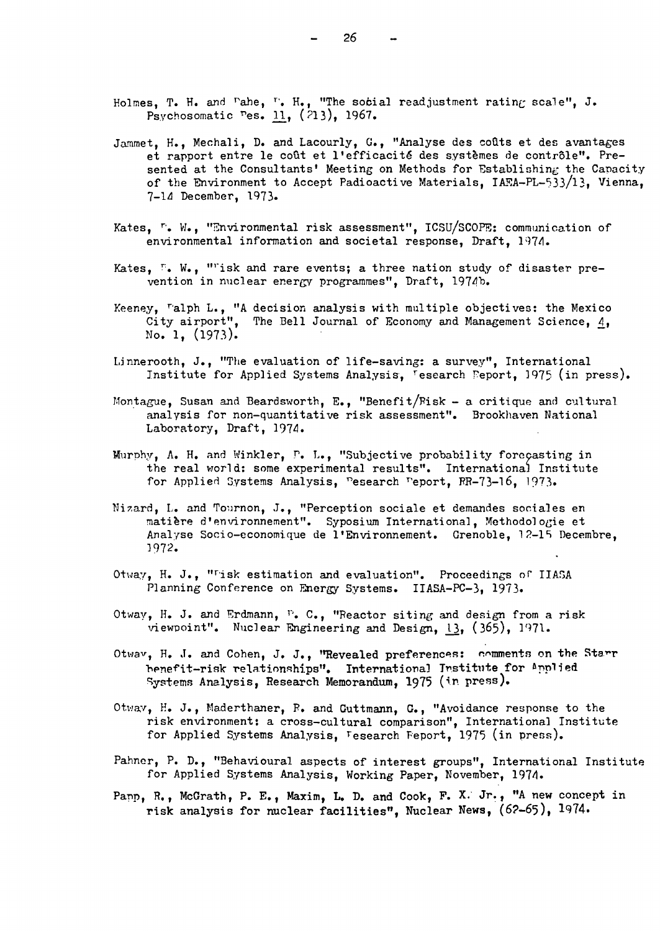- Jammet, H., Mechali, D. and Lacourly, G., "Analyse des coûts et des avantages et rapport entre le coût et l'efficacité des systèmes de contrôle". Presented at the Consultants' Meeting on Methods for Establishing the Capacity of the Environment to Accept Padioactive Materials,  $IAFA-PL-533/13$ , Vienna, 7-14 December, 1973.
- Kates, <sup>r</sup>. W., "Environmental risk assessment", ICSU/SCOPE: communication of environmental information and societal response, Draft, 1974.
- Kates, <sup>P</sup>. W., ""isk and rare events; a three nation study of disaster prevention in nuclear energy programmes", Draft, 1974b.
- Keeney, Talph L., "A decision analysis with multiple objectives: the Mexico City airport", The Bell Journal of Economy and Management Science, 4, No. 1,  $(1973)$ .
- Linnerooth, J., "The evaluation of life-saving: a survey", International Institute for Applied Systems Analysis, 'esearch Feport, 1975 (in press).
- Montague, Susan and Beardsworth, E., "Benefit/Fisk a critique and cultural analysis for non-quantitative risk assessment". Brookhaven National Laboratory, Draft, 1974.
- Murphy, A. H. and Winkler, P. L., "Subjective probability forecasting in the real world: some experimental results". International Institute for Applied Systems Analysis, Pesearch Peport, RR-73-16, 1973.
- Nizard, L. and Tournon, J., "Perception sociale et demandes sociales en matière d'environnement". Syposium International, Methodologie et Analyse Socio-economique de l'Environnement. Grenoble, 12-15 Decembre, 1972.
- Otway, H. J., "Tisk estimation and evaluation". Proceedings of IIASA Planning Conference on Energy Systems. IIASA-PC-3, 1973.
- Otway, H. J. and Erdmann, P. C., "Reactor siting and design from a risk viewpoint". Nuclear Engineering and Design,  $13, (365), 1971$ .
- Otway, H. J. and Cohen, J. J., "Revealed preferences: comments on the Starr henefit-risk relationships". International Institute for Applied Systems Analysis, Research Memorandum, 1975 (in press).
- Otway, H. J., Maderthaner, R. and Cuttmann, G., "Avoidance response to the risk environment: a cross-cultural comparison", International Institute for Applied Systems Analysis, Vesearch Feport, 1975 (in press).
- Pahner, P. D., "Behavioural aspects of interest groups", International Institute for Applied Systems Analysis, Working Paper, November, 1974.
- Papp, R., McGrath, P. E., Maxim, L. D. and Cook, F. X. Jr., "A new concept in risk analysis for nuclear facilities", Nuclear News, (62-65), 1974.